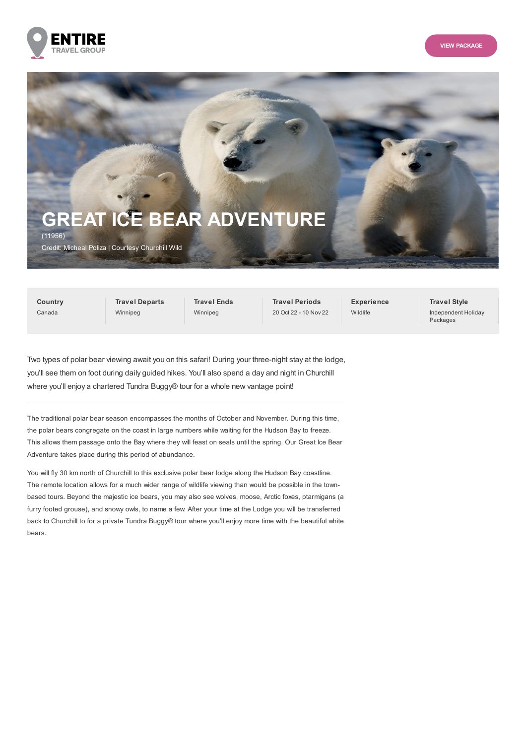



**Country** Canada

**Travel Departs** Winnipeg

**Travel Ends** Winnipeg

**Travel Periods** 20 Oct 22 - 10 Nov 22 **Experience** Wildlife

**Travel Style** Independent Holiday Packages

Two types of polar bear viewing await you on this safari! During your three-night stay at the lodge, you'll see them on foot during daily guided hikes. You'll also spend a day and night in Churchill where you'll enjoy a chartered Tundra Buggy® tour for a whole new vantage point!

The traditional polar bear season encompasses the months of October and November. During this time, the polar bears congregate on the coast in large numbers while waiting for the Hudson Bay to freeze. This allows them passage onto the Bay where they will feast on seals until the spring. Our Great Ice Bear Adventure takes place during this period of abundance.

You will fly 30 km north of Churchill to this exclusive polar bear lodge along the Hudson Bay coastline. The remote location allows for a much wider range of wildlife viewing than would be possible in the townbased tours. Beyond the majestic ice bears, you may also see wolves, moose, Arctic foxes, ptarmigans (a furry footed grouse), and snowy owls, to name a few. After your time at the Lodge you will be transferred back to Churchill to for a private Tundra Buggy® tour where you'll enjoy more time with the beautiful white bears.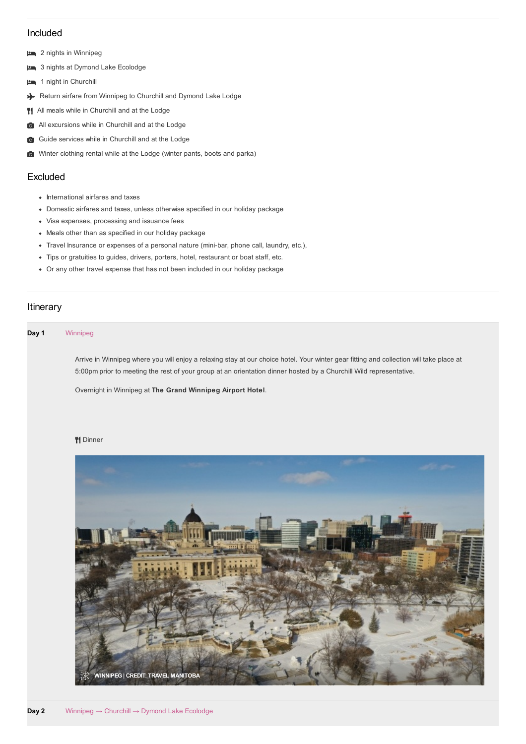# Included

- 2 nights in Winnipeg
- 3 nights at Dymond Lake Ecolodge
- 1 night in Churchill
- Return airfare from Winnipeg to Churchill and Dymond Lake Lodge
- <sup>1</sup>1 All meals while in Churchill and at the Lodge
- All excursions while in Churchill and at the Lodge
- G Guide services while in Churchill and at the Lodge
- Winter clothing rental while at the Lodge (winter pants, boots and parka)

# Excluded

- International airfares and taxes
- Domestic airfares and taxes, unless otherwise specified in our holiday package
- Visa expenses, processing and issuance fees
- Meals other than as specified in our holiday package
- Travel Insurance or expenses of a personal nature (mini-bar, phone call, laundry, etc.),
- Tips or gratuities to guides, drivers, porters, hotel, restaurant or boat staff, etc.
- Or any other travel expense that has not been included in our holiday package

# Itinerary

### **Day 1** Winnipeg

Arrive in Winnipeg where you will enjoy a relaxing stay at our choice hotel. Your winter gear fitting and collection will take place at 5:00pm prior to meeting the rest of your group at an orientation dinner hosted by a Churchill Wild representative.

Overnight in Winnipeg at **The Grand Winnipeg Airport Hotel**.

### **W** Dinner

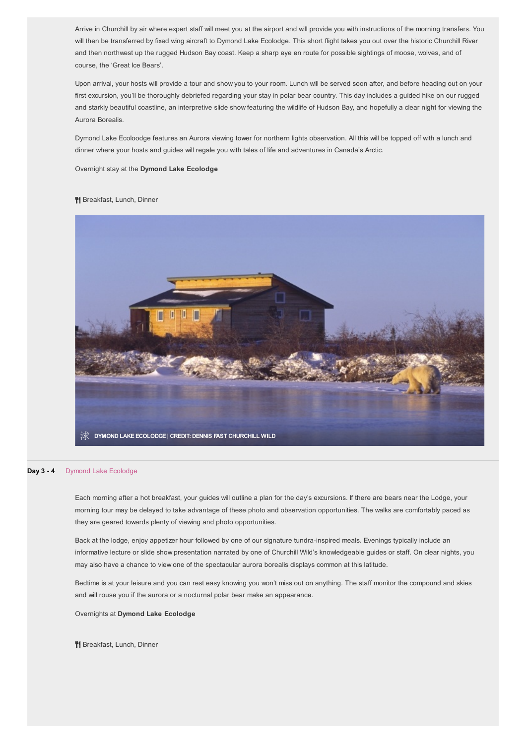Arrive in Churchill by air where expert staff will meet you at the airport and will provide you with instructions of the morning transfers. You will then be transferred by fixed wing aircraft to Dymond Lake Ecolodge. This short flight takes you out over the historic Churchill River and then northwest up the rugged Hudson Bay coast. Keep a sharp eye en route for possible sightings of moose, wolves, and of course, the 'Great Ice Bears'.

Upon arrival, your hosts will provide a tour and show you to your room. Lunch will be served soon after, and before heading out on your first excursion, you'll be thoroughly debriefed regarding your stay in polar bear country. This day includes a guided hike on our rugged and starkly beautiful coastline, an interpretive slide show featuring the wildlife of Hudson Bay, and hopefully a clear night for viewing the Aurora Borealis.

Dymond Lake Ecoloodge features an Aurora viewing tower for northern lights observation. All this will be topped off with a lunch and dinner where your hosts and guides will regale you with tales of life and adventures in Canada's Arctic.

Overnight stay at the **Dymond Lake Ecolodge**

#### <sup>4</sup> Breakfast, Lunch, Dinner



#### **Day 3 - 4** Dymond Lake Ecolodge

Each morning after a hot breakfast, your guides will outline a plan for the day's excursions. If there are bears near the Lodge, your morning tour may be delayed to take advantage of these photo and observation opportunities. The walks are comfortably paced as they are geared towards plenty of viewing and photo opportunities.

Back at the lodge, enjoy appetizer hour followed by one of our signature tundra-inspired meals. Evenings typically include an informative lecture or slide show presentation narrated by one of Churchill Wild's knowledgeable guides or staff. On clear nights, you may also have a chance to view one of the spectacular aurora borealis displays common at this latitude.

Bedtime is at your leisure and you can rest easy knowing you won't miss out on anything. The staff monitor the compound and skies and will rouse you if the aurora or a nocturnal polar bear make an appearance.

Overnights at **Dymond Lake Ecolodge**

<sup>4</sup> Breakfast, Lunch, Dinner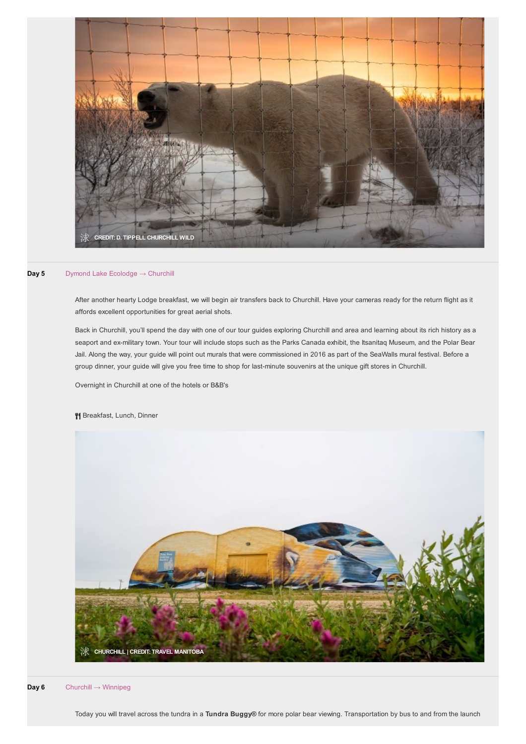

### **Day 5** Dymond Lake Ecolodge → Churchill

After another hearty Lodge breakfast, we will begin air transfers back to Churchill. Have your cameras ready for the return flight as it affords excellent opportunities for great aerial shots.

Back in Churchill, you'll spend the day with one of our tour guides exploring Churchill and area and learning about its rich history as a seaport and ex-military town. Your tour will include stops such as the Parks Canada exhibit, the Itsanitaq Museum, and the Polar Bear Jail. Along the way, your guide will point out murals that were commissioned in 2016 as part of the SeaWalls mural festival. Before a group dinner, your guide will give you free time to shop for last-minute souvenirs at the unique gift stores in Churchill.

Overnight in Churchill at one of the hotels or B&B's

# <sup>4</sup> Breakfast, Lunch, Dinner